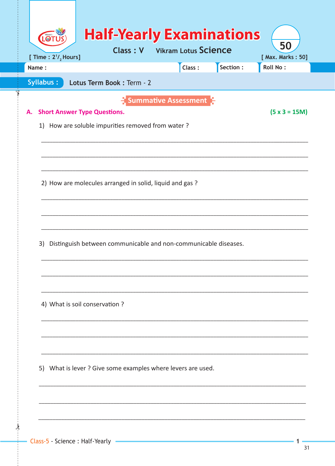| [ Time : $2^{1/2}$ Hours]<br>Name:<br><b>Syllabus:</b><br>Lotus Term Book: Term - 2<br><b>Summative Assessment</b><br><b>Short Answer Type Questions.</b><br>1) How are soluble impurities removed from water?<br>2) How are molecules arranged in solid, liquid and gas?<br>Distinguish between communicable and non-communicable diseases. | Class: | Section: | [ Max. Marks: 50]<br>Roll No:<br>$(5 \times 3 = 15M)$ |
|----------------------------------------------------------------------------------------------------------------------------------------------------------------------------------------------------------------------------------------------------------------------------------------------------------------------------------------------|--------|----------|-------------------------------------------------------|
|                                                                                                                                                                                                                                                                                                                                              |        |          |                                                       |
|                                                                                                                                                                                                                                                                                                                                              |        |          |                                                       |
|                                                                                                                                                                                                                                                                                                                                              |        |          |                                                       |
|                                                                                                                                                                                                                                                                                                                                              |        |          |                                                       |
|                                                                                                                                                                                                                                                                                                                                              |        |          |                                                       |
|                                                                                                                                                                                                                                                                                                                                              |        |          |                                                       |
|                                                                                                                                                                                                                                                                                                                                              |        |          |                                                       |
|                                                                                                                                                                                                                                                                                                                                              |        |          |                                                       |
|                                                                                                                                                                                                                                                                                                                                              |        |          |                                                       |
|                                                                                                                                                                                                                                                                                                                                              |        |          |                                                       |
|                                                                                                                                                                                                                                                                                                                                              |        |          |                                                       |
|                                                                                                                                                                                                                                                                                                                                              |        |          |                                                       |
|                                                                                                                                                                                                                                                                                                                                              |        |          |                                                       |
|                                                                                                                                                                                                                                                                                                                                              |        |          |                                                       |
|                                                                                                                                                                                                                                                                                                                                              |        |          |                                                       |
|                                                                                                                                                                                                                                                                                                                                              |        |          |                                                       |
|                                                                                                                                                                                                                                                                                                                                              |        |          |                                                       |
|                                                                                                                                                                                                                                                                                                                                              |        |          |                                                       |
| 4) What is soil conservation ?                                                                                                                                                                                                                                                                                                               |        |          |                                                       |
|                                                                                                                                                                                                                                                                                                                                              |        |          |                                                       |
|                                                                                                                                                                                                                                                                                                                                              |        |          |                                                       |
|                                                                                                                                                                                                                                                                                                                                              |        |          |                                                       |
|                                                                                                                                                                                                                                                                                                                                              |        |          |                                                       |
| 5) What is lever ? Give some examples where levers are used.                                                                                                                                                                                                                                                                                 |        |          |                                                       |
|                                                                                                                                                                                                                                                                                                                                              |        |          |                                                       |
|                                                                                                                                                                                                                                                                                                                                              |        |          |                                                       |
|                                                                                                                                                                                                                                                                                                                                              |        |          |                                                       |

 $\frac{1}{2}$ 

 $\mathbf{1}$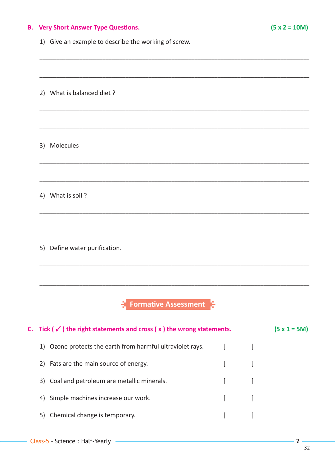# **B.** Very Short Answer Type Questions.

1) Give an example to describe the working of screw.

|    | 2) What is balanced diet?                                                             |              |   |                |
|----|---------------------------------------------------------------------------------------|--------------|---|----------------|
|    | 3) Molecules                                                                          |              |   |                |
|    | 4) What is soil?                                                                      |              |   |                |
|    | 5) Define water purification.                                                         |              |   |                |
|    | $\frac{1}{2}$ Formative Assessment                                                    |              |   |                |
|    | C. Tick ( $\checkmark$ ) the right statements and cross ( $x$ ) the wrong statements. |              |   | $(5 x 1 = 5M)$ |
|    | 1) Ozone protects the earth from harmful ultraviolet rays.                            | <sub>[</sub> | 1 |                |
| 2) | Fats are the main source of energy.                                                   | ſ            | 1 |                |
|    | 3) Coal and petroleum are metallic minerals.                                          | L            |   |                |
| 4) | Simple machines increase our work.                                                    | ſ            |   |                |
|    | 5) Chemical change is temporary.                                                      | I            |   |                |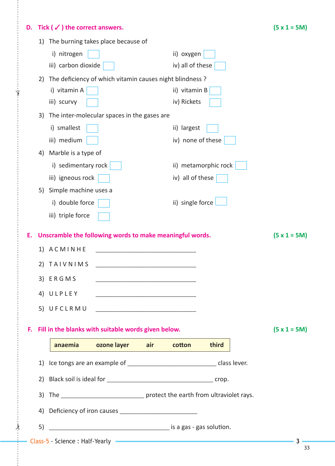# **D. Tick (** $\checkmark$ **) the correct answers.** (5 x 1 = 5M)

 $\frac{1}{2}$ 

✁

|    | 1) |                                                          | The burning takes place because of                       |                                                                                                                       |                   |                                                                                                                                                                                                                                |                     |
|----|----|----------------------------------------------------------|----------------------------------------------------------|-----------------------------------------------------------------------------------------------------------------------|-------------------|--------------------------------------------------------------------------------------------------------------------------------------------------------------------------------------------------------------------------------|---------------------|
|    |    | i) nitrogen                                              |                                                          |                                                                                                                       | ii) oxygen        |                                                                                                                                                                                                                                |                     |
|    |    | iii) carbon dioxide                                      |                                                          |                                                                                                                       | iv) all of these  |                                                                                                                                                                                                                                |                     |
|    | 2) | The deficiency of which vitamin causes night blindness ? |                                                          |                                                                                                                       |                   |                                                                                                                                                                                                                                |                     |
|    |    | i) vitamin A                                             |                                                          |                                                                                                                       | ii) vitamin B     |                                                                                                                                                                                                                                |                     |
|    |    | iii) scurvy                                              |                                                          |                                                                                                                       | iv) Rickets       |                                                                                                                                                                                                                                |                     |
|    | 3) |                                                          | The inter-molecular spaces in the gases are              |                                                                                                                       |                   |                                                                                                                                                                                                                                |                     |
|    |    | i) smallest                                              |                                                          |                                                                                                                       | ii) largest       |                                                                                                                                                                                                                                |                     |
|    |    | iii) medium                                              |                                                          |                                                                                                                       | iv) none of these |                                                                                                                                                                                                                                |                     |
|    | 4) | Marble is a type of                                      |                                                          |                                                                                                                       |                   |                                                                                                                                                                                                                                |                     |
|    |    | i) sedimentary rock                                      |                                                          |                                                                                                                       |                   | ii) metamorphic rock                                                                                                                                                                                                           |                     |
|    |    | iii) igneous rock                                        |                                                          |                                                                                                                       | iv) all of these  |                                                                                                                                                                                                                                |                     |
|    | 5) | Simple machine uses a                                    |                                                          |                                                                                                                       |                   |                                                                                                                                                                                                                                |                     |
|    |    | i) double force                                          |                                                          |                                                                                                                       | ii) single force  |                                                                                                                                                                                                                                |                     |
|    |    | iii) triple force                                        |                                                          |                                                                                                                       |                   |                                                                                                                                                                                                                                |                     |
|    |    |                                                          |                                                          |                                                                                                                       |                   |                                                                                                                                                                                                                                |                     |
| Е. |    |                                                          | Unscramble the following words to make meaningful words. |                                                                                                                       |                   |                                                                                                                                                                                                                                | $(5 \times 1 = 5M)$ |
|    | 1) | ACMINHE                                                  |                                                          | <u> 1989 - Johann Harry Harry Harry Harry Harry Harry Harry Harry Harry Harry Harry Harry Harry Harry Harry Harry</u> |                   |                                                                                                                                                                                                                                |                     |
|    | 2) | <b>TAIVNIMS</b>                                          | <u> 1980 - Johann Barbara, martxa alemaniar a</u>        |                                                                                                                       |                   |                                                                                                                                                                                                                                |                     |
|    |    | 3) ERGMS                                                 |                                                          |                                                                                                                       |                   |                                                                                                                                                                                                                                |                     |
|    |    | 4) ULPLEY                                                |                                                          |                                                                                                                       |                   |                                                                                                                                                                                                                                |                     |
|    |    |                                                          |                                                          |                                                                                                                       |                   |                                                                                                                                                                                                                                |                     |
|    |    |                                                          |                                                          |                                                                                                                       |                   |                                                                                                                                                                                                                                |                     |
|    |    |                                                          | F. Fill in the blanks with suitable words given below.   |                                                                                                                       |                   |                                                                                                                                                                                                                                | $(5 x 1 = 5M)$      |
|    |    |                                                          | anaemia ozone layer air                                  |                                                                                                                       | cotton            | third                                                                                                                                                                                                                          |                     |
|    |    |                                                          |                                                          |                                                                                                                       |                   |                                                                                                                                                                                                                                |                     |
|    |    |                                                          |                                                          |                                                                                                                       |                   |                                                                                                                                                                                                                                |                     |
|    |    |                                                          |                                                          |                                                                                                                       |                   |                                                                                                                                                                                                                                |                     |
|    |    |                                                          |                                                          |                                                                                                                       |                   |                                                                                                                                                                                                                                |                     |
|    |    |                                                          |                                                          |                                                                                                                       |                   |                                                                                                                                                                                                                                |                     |
|    |    |                                                          |                                                          |                                                                                                                       |                   |                                                                                                                                                                                                                                |                     |
|    | 5) |                                                          |                                                          |                                                                                                                       |                   |                                                                                                                                                                                                                                |                     |
|    |    |                                                          |                                                          |                                                                                                                       |                   | - Class-5 - Science : Half-Yearly - The Class-1 - Class-1 - Class-1 - Class-1 - Class-1 - Class-1 - Class-1 - Class-1 - Class-1 - Class-1 - Class-1 - Class-1 - Class-1 - Class-1 - Class-1 - Class-1 - Class-1 - Class-1 - Cl | - 3                 |

33